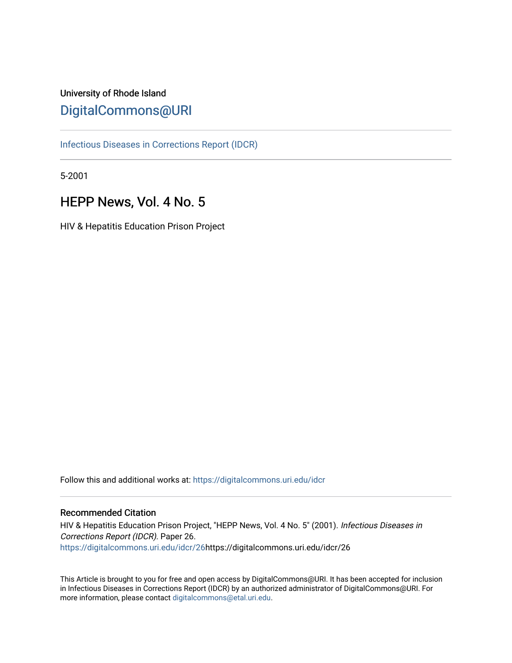# University of Rhode Island [DigitalCommons@URI](https://digitalcommons.uri.edu/)

[Infectious Diseases in Corrections Report \(IDCR\)](https://digitalcommons.uri.edu/idcr)

5-2001

# HEPP News, Vol. 4 No. 5

HIV & Hepatitis Education Prison Project

Follow this and additional works at: [https://digitalcommons.uri.edu/idcr](https://digitalcommons.uri.edu/idcr?utm_source=digitalcommons.uri.edu%2Fidcr%2F26&utm_medium=PDF&utm_campaign=PDFCoverPages)

## Recommended Citation

HIV & Hepatitis Education Prison Project, "HEPP News, Vol. 4 No. 5" (2001). Infectious Diseases in Corrections Report (IDCR). Paper 26. [https://digitalcommons.uri.edu/idcr/26h](https://digitalcommons.uri.edu/idcr/26?utm_source=digitalcommons.uri.edu%2Fidcr%2F26&utm_medium=PDF&utm_campaign=PDFCoverPages)ttps://digitalcommons.uri.edu/idcr/26

This Article is brought to you for free and open access by DigitalCommons@URI. It has been accepted for inclusion in Infectious Diseases in Corrections Report (IDCR) by an authorized administrator of DigitalCommons@URI. For more information, please contact [digitalcommons@etal.uri.edu.](mailto:digitalcommons@etal.uri.edu)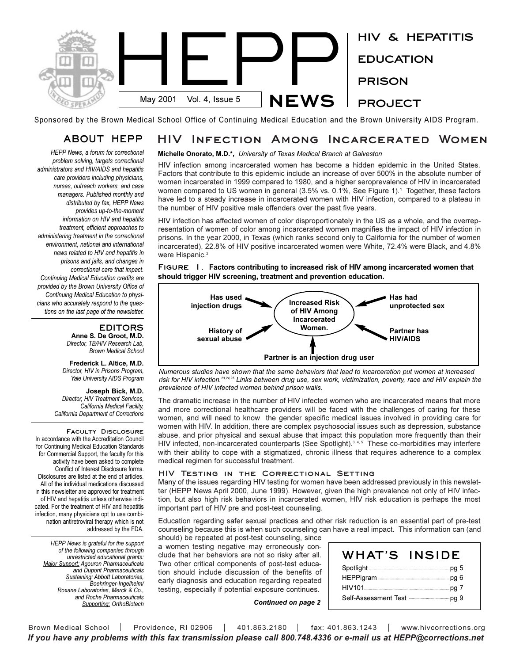

Sponsored by the Brown Medical School Office of Continuing Medical Education and the Brown University AIDS Program.

#### **HIV Infection Among Incarcerated Women ABOUT HEPP**

*HEPP News, a forum for correctional problem solving, targets correctional administrators and HIV/AIDS and hepatitis care providers including physicians, nurses, outreach workers, and case managers. Published monthly and distributed by fax, HEPP News provides up-to-the-moment information on HIV and hepatitis treatment, efficient approaches to administering treatment in the correctional environment, national and international news related to HIV and hepatitis in prisons and jails, and changes in correctional care that impact. Continuing Medical Education credits are provided by the Brown University Office of Continuing Medical Education to physicians who accurately respond to the questions on the last page of the newsletter.* 

## **EDITORS**

**Anne S. De Groot, M.D.** *Director, TB/HIV Research Lab, Brown Medical School*

**Frederick L. Altice, M.D.** *Director, HIV in Prisons Program, Yale University AIDS Program*

**Joseph Bick, M.D.** *Director, HIV Treatment Services, California Medical Facility, California Department of Corrections*

**Faculty Disclosure**  In accordance with the Accreditation Council for Continuing Medical Education Standards for Commercial Support, the faculty for this activity have been asked to complete Conflict of Interest Disclosure forms. Disclosures are listed at the end of articles. All of the individual medications discussed in this newsletter are approved for treatment of HIV and hepatitis unless otherwise indicated. For the treatment of HIV and hepatitis infection, many physicians opt to use combination antiretroviral therapy which is not addressed by the FDA.

*HEPP News is grateful for the support of the following companies through unrestricted educational grants: Major Support: Agouron Pharmaceuticals and Dupont Pharmaceuticals Sustaining: Abbott Laboratories, Boehringer-Ingelheim/ Roxane Laboratories, Merck & Co., and Roche Pharmaceuticals Supporting: OrthoBiotech*

## **Michelle Onorato, M.D.\*,** *University of Texas Medical Branch at Galveston*

HIV infection among incarcerated women has become a hidden epidemic in the United States. Factors that contribute to this epidemic include an increase of over 500% in the absolute number of women incarcerated in 1999 compared to 1980, and a higher seroprevalence of HIV in incarcerated women compared to US women in general (3.5% vs. 0.1%, See Figure 1).<sup>1</sup> Together, these factors have led to a steady increase in incarcerated women with HIV infection, compared to a plateau in the number of HIV positive male offenders over the past five years.

HIV infection has affected women of color disproportionately in the US as a whole, and the overrepresentation of women of color among incarcerated women magnifies the impact of HIV infection in prisons. In the year 2000, in Texas (which ranks second only to California for the number of women incarcerated), 22.8% of HIV positive incarcerated women were White, 72.4% were Black, and 4.8% were Hispanic.<sup>2</sup>

**Figure 1. Factors contributing to increased risk of HIV among incarcerated women that should trigger HIV screening, treatment and prevention education.**



*Numerous studies have shown that the same behaviors that lead to incarceration put women at increased risk for HIV infection.23,24,25 Links between drug use, sex work, victimization, poverty, race and HIV explain the prevalence of HIV infected women behind prison walls.*

The dramatic increase in the number of HIV infected women who are incarcerated means that more and more correctional healthcare providers will be faced with the challenges of caring for these women, and will need to know the gender specific medical issues involved in providing care for women with HIV. In addition, there are complex psychosocial issues such as depression, substance abuse, and prior physical and sexual abuse that impact this population more frequently than their HIV infected, non-incarcerated counterparts (See Spotlight).<sup>3, 4, 5</sup> These co-morbidities may interfere with their ability to cope with a stigmatized, chronic illness that requires adherence to a complex medical regimen for successful treatment.

## **HIV Testing in the Correctional Setting**

Many of the issues regarding HIV testing for women have been addressed previously in this newsletter (HEPP News April 2000, June 1999). However, given the high prevalence not only of HIV infection, but also high risk behaviors in incarcerated women, HIV risk education is perhaps the most important part of HIV pre and post-test counseling.

Education regarding safer sexual practices and other risk reduction is an essential part of pre-test counseling because this is when such counseling can have a real impact. This information can (and

should) be repeated at post-test counseling, since a women testing negative may erroneously conclude that her behaviors are not so risky after all. Two other critical components of post-test education should include discussion of the benefits of early diagnosis and education regarding repeated testing, especially if potential exposure continues.

| WHAT'S | <b>INSIDE</b> |
|--------|---------------|
|        |               |
|        |               |
|        |               |
|        |               |

*Continued on page 2*

Brown Medical School | Providence, RI 02906 | 401.863.2180 | fax: 401.863.1243 | www.hivcorrections.org *If you have any problems with this fax transmission please call 800.748.4336 or e-mail us at HEPP@corrections.net*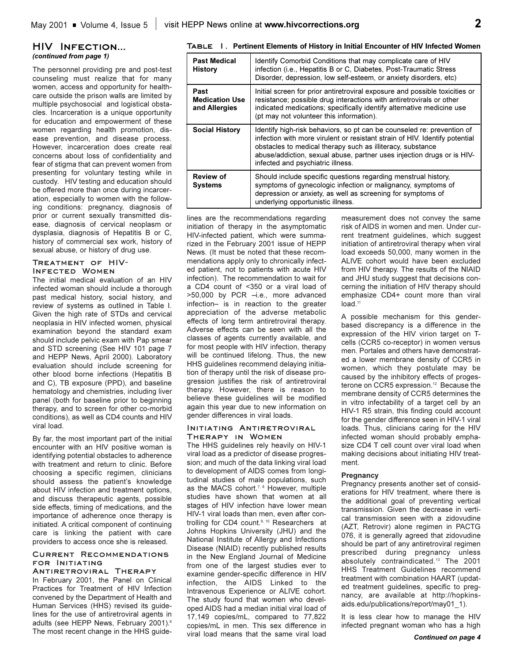## **HIV Infection...** *(continued from page 1)*

The personnel providing pre and post-test counseling must realize that for many women, access and opportunity for healthcare outside the prison walls are limited by multiple psychosocial and logistical obstacles. Incarceration is a unique opportunity for education and empowerment of these women regarding health promotion, disease prevention, and disease process. However, incarceration does create real concerns about loss of confidentiality and fear of stigma that can prevent women from presenting for voluntary testing while in custody. HIV testing and education should be offered more than once during incarceration, especially to women with the following conditions: pregnancy, diagnosis of prior or current sexually transmitted disease, diagnosis of cervical neoplasm or dysplasia, diagnosis of Hepatitis B or C, history of commercial sex work, history of sexual abuse, or history of drug use.

#### **Treatment of HIV-Infected Women**

The initial medical evaluation of an HIV infected woman should include a thorough past medical history, social history, and review of systems as outlined in Table I. Given the high rate of STDs and cervical neoplasia in HIV infected women, physical examination beyond the standard exam should include pelvic exam with Pap smear and STD screening (See HIV 101 page 7 and HEPP News, April 2000). Laboratory evaluation should include screening for other blood borne infections (Hepatitis B and C), TB exposure (PPD), and baseline hematology and chemistries, including liver panel (both for baseline prior to beginning therapy, and to screen for other co-morbid conditions), as well as CD4 counts and HIV viral load.

By far, the most important part of the initial encounter with an HIV positive woman is identifying potential obstacles to adherence with treatment and return to clinic. Before choosing a specific regimen, clinicians should assess the patient's knowledge about HIV infection and treatment options, and discuss therapeutic agents, possible side effects, timing of medications, and the importance of adherence once therapy is initiated. A critical component of continuing care is linking the patient with care providers to access once she is released.

## **Current Recommendations for Initiating**

**Antiretroviral Therapy** In February 2001, the Panel on Clinical Practices for Treatment of HIV Infection convened by the Department of Health and Human Services (HHS) revised its guidelines for the use of antiretroviral agents in adults (see HEPP News, February 2001).<sup>6</sup> The most recent change in the HHS guide-

## **Table 1. Pertinent Elements of History in Initial Encounter of HIV Infected Women**

| <b>Past Medical</b><br><b>History</b>          | Identify Comorbid Conditions that may complicate care of HIV<br>infection (i.e., Hepatitis B or C, Diabetes, Post-Traumatic Stress<br>Disorder, depression, low self-esteem, or anxiety disorders, etc)                                                                                                                            |
|------------------------------------------------|------------------------------------------------------------------------------------------------------------------------------------------------------------------------------------------------------------------------------------------------------------------------------------------------------------------------------------|
| Past<br><b>Medication Use</b><br>and Allergies | Initial screen for prior antiretroviral exposure and possible toxicities or<br>resistance; possible drug interactions with antiretrovirals or other<br>indicated medications; specifically identify alternative medicine use<br>(pt may not volunteer this information).                                                           |
| <b>Social History</b>                          | Identify high-risk behaviors, so pt can be counseled re: prevention of<br>infection with more virulent or resistant strain of HIV. Identify potential<br>obstacles to medical therapy such as illiteracy, substance<br>abuse/addiction, sexual abuse, partner uses injection drugs or is HIV-<br>infected and psychiatric illness. |
| <b>Review of</b><br><b>Systems</b>             | Should include specific questions regarding menstrual history,<br>symptoms of gynecologic infection or malignancy, symptoms of<br>depression or anxiety, as well as screening for symptoms of<br>underlying opportunistic illness.                                                                                                 |

lines are the recommendations regarding initiation of therapy in the asymptomatic HIV-infected patient, which were summarized in the February 2001 issue of HEPP News. (It must be noted that these recommendations apply only to chronically infected patient, not to patients with acute HIV infection). The recommendation to wait for a CD4 count of <350 or a viral load of >50,000 by PCR -i.e., more advanced infection- is in reaction to the greater appreciation of the adverse metabolic effects of long term antiretroviral therapy. Adverse effects can be seen with all the classes of agents currently available, and for most people with HIV infection, therapy will be continued lifelong. Thus, the new HHS guidelines recommend delaying initiation of therapy until the risk of disease progression justifies the risk of antiretroviral therapy. However, there is reason to believe these guidelines will be modified again this year due to new information on gender differences in viral loads.

#### **Initiating Antiretroviral Therapy in Women**

The HHS guidelines rely heavily on HIV-1 viral load as a predictor of disease progression; and much of the data linking viral load to development of AIDS comes from longitudinal studies of male populations, such as the MACS cohort.<sup>7, 8</sup> However, multiple studies have shown that women at all stages of HIV infection have lower mean HIV-1 viral loads than men, even after controlling for CD4 count.<sup>9, 10</sup> Researchers at Johns Hopkins University (JHU) and the National Institute of Allergy and Infections Disease (NIAID) recently published results in the New England Journal of Medicine from one of the largest studies ever to examine gender-specific difference in HIV infection, the AIDS Linked to the Intravenous Experience or ALIVE cohort. The study found that women who developed AIDS had a median initial viral load of 17,149 copies/mL, compared to 77,822 copies/mL in men. This sex difference in viral load means that the same viral load

measurement does not convey the same risk of AIDS in women and men. Under current treatment guidelines, which suggest initiation of antiretroviral therapy when viral load exceeds 50,000, many women in the ALIVE cohort would have been excluded from HIV therapy. The results of the NIAID and JHU study suggest that decisions concerning the initiation of HIV therapy should emphasize CD4+ count more than viral  $load<sup>11</sup>$ 

A possible mechanism for this genderbased discrepancy is a difference in the expression of the HIV virion target on Tcells (CCR5 co-receptor) in women versus men. Portales and others have demonstrated a lower membrane density of CCR5 in women, which they postulate may be caused by the inhibitory effects of progesterone on CCR5 expression.<sup>12</sup> Because the membrane density of CCR5 determines the in vitro infectability of a target cell by an HIV-1 R5 strain, this finding could account for the gender difference seen in HIV-1 viral loads. Thus, clinicians caring for the HIV infected woman should probably emphasize CD4 T cell count over viral load when making decisions about initiating HIV treatment.

## **Pregnancy**

Pregnancy presents another set of considerations for HIV treatment, where there is the additional goal of preventing vertical transmission. Given the decrease in vertical transmission seen with a zidovudine (AZT, Retrovir) alone regimen in PACTG 076, it is generally agreed that zidovudine should be part of any antiretroviral regimen prescribed during pregnancy unless absolutely contraindicated.<sup>13</sup> The 2001 HHS Treatment Guidelines recommend treatment with combination HAART (updated treatment guidelines, specific to pregnancy, are available at http://hopkinsaids.edu/publications/report/may01\_1).

It is less clear how to manage the HIV infected pregnant woman who has a high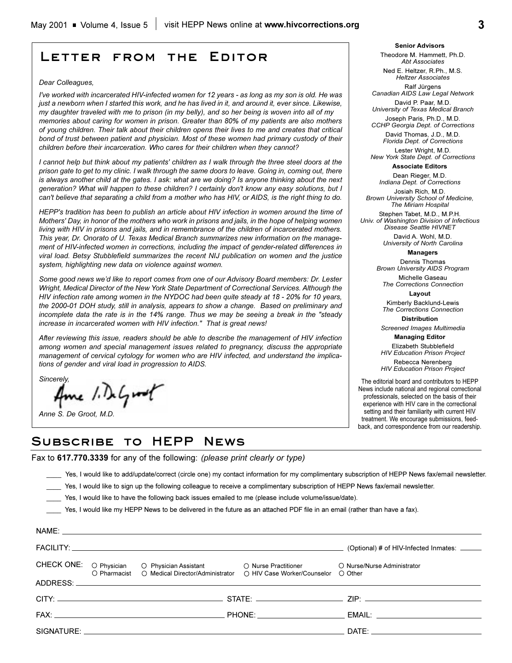## **Letter from the Editor**

#### *Dear Colleagues,*

*I've worked with incarcerated HIV-infected women for 12 years - as long as my son is old. He was just a newborn when I started this work, and he has lived in it, and around it, ever since. Likewise, my daughter traveled with me to prison (in my belly), and so her being is woven into all of my memories about caring for women in prison. Greater than 80% of my patients are also mothers of young children. Their talk about their children opens their lives to me and creates that critical bond of trust between patient and physician. Most of these women had primary custody of their children before their incarceration. Who cares for their children when they cannot?*

*I cannot help but think about my patients' children as I walk through the three steel doors at the prison gate to get to my clinic. I walk through the same doors to leave. Going in, coming out, there is always another child at the gates. I ask: what are we doing? Is anyone thinking about the next generation? What will happen to these children? I certainly don't know any easy solutions, but I can't believe that separating a child from a mother who has HIV, or AIDS, is the right thing to do.*

*HEPP's tradition has been to publish an article about HIV infection in women around the time of Mothers' Day, in honor of the mothers who work in prisons and jails, in the hope of helping women living with HIV in prisons and jails, and in remembrance of the children of incarcerated mothers. This year, Dr. Onorato of U. Texas Medical Branch summarizes new information on the management of HIV-infected women in corrections, including the impact of gender-related differences in viral load. Betsy Stubblefield summarizes the recent NIJ publication on women and the justice system, highlighting new data on violence against women.*

*Some good news wed like to report comes from one of our Advisory Board members: Dr. Lester Wright, Medical Director of the New York State Department of Correctional Services. Although the HIV infection rate among women in the NYDOC had been quite steady at 18 - 20% for 10 years, the 2000-01 DOH study, still in analysis, appears to show a change. Based on preliminary and incomplete data the rate is in the 14% range. Thus we may be seeing a break in the "steady increase in incarcerated women with HIV infection." That is great news!*

*After reviewing this issue, readers should be able to describe the management of HIV infection among women and special management issues related to pregnancy, discuss the appropriate management of cervical cytology for women who are HIV infected, and understand the implications of gender and viral load in progression to AIDS.*

*Sincerely,*

NAME:

Ame 1. DeGroot

*Anne S. De Groot, M.D.*

**Senior Advisors** Theodore M. Hammett, Ph.D. *Abt Associates*

Ned E. Heltzer, R.Ph., M.S. *Heltzer Associates*

Ralf Jürgens *Canadian AIDS Law Legal Network* David P. Paar, M.D.

*University of Texas Medical Branch* Joseph Paris, Ph.D., M.D.

*CCHP Georgia Dept. of Corrections*  David Thomas, J.D., M.D.

*Florida Dept. of Corrections* Lester Wright, M.D.

*New York State Dept. of Corrections* **Associate Editors**

Dean Rieger, M.D.

*Indiana Dept. of Corrections* Josiah Rich, M.D.

*Brown University School of Medicine, The Miriam Hospital*

Stephen Tabet, M.D., M.P.H. *Univ. of Washington Division of Infectious Disease Seattle HIVNET*

> David A. Wohl, M.D. *University of North Carolina*

> > **Managers**

Dennis Thomas *Brown University AIDS Program*

Michelle Gaseau *The Corrections Connection*

**Layout**

Kimberly Backlund-Lewis *The Corrections Connection* **Distribution**

*Screened Images Multimedia*

**Managing Editor**  Elizabeth Stubblefield *HIV Education Prison Project* Rebecca Nerenberg

*HIV Education Prison Project*

The editorial board and contributors to HEPP News include national and regional correctional professionals, selected on the basis of their experience with HIV care in the correctional setting and their familiarity with current HIV treatment. We encourage submissions, feedback, and correspondence from our readership.

## **Subscribe to HEPP News**

Fax to **617.770.3339** for any of the following: *(please print clearly or type)*

\_\_\_\_ Yes, I would like to add/update/correct (circle one) my contact information for my complimentary subscription of HEPP News fax/email newsletter.

Yes, I would like to sign up the following colleague to receive a complimentary subscription of HEPP News fax/email newsletter.

\_\_\_\_ Yes, I would like to have the following back issues emailed to me (please include volume/issue/date).

Yes, I would like my HEPP News to be delivered in the future as an attached PDF file in an email (rather than have a fax).

|  |                                                                                               | (Optional) # of HIV-Infected Inmates: _____ |
|--|-----------------------------------------------------------------------------------------------|---------------------------------------------|
|  | CHECK ONE: O Physician O Physician Assistant O Nurse Practitioner O Nurse/Nurse Administrator |                                             |
|  | O Pharmacist O Medical Director/Administrator O HIV Case Worker/Counselor                     | ◯ Other                                     |
|  |                                                                                               |                                             |
|  |                                                                                               |                                             |
|  |                                                                                               | DATE: www.astronomia.com                    |
|  |                                                                                               |                                             |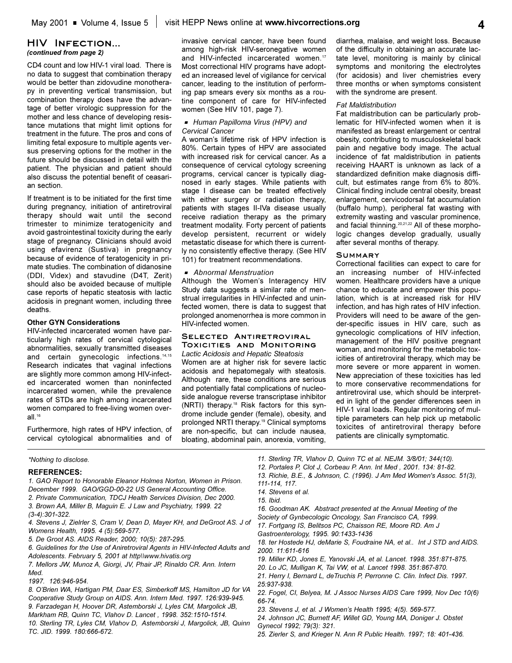## **HIV Infection...** *(continued from page 2)*

CD4 count and low HIV-1 viral load. There is no data to suggest that combination therapy would be better than zidovudine monotherapy in preventing vertical transmission, but combination therapy does have the advantage of better virologic suppression for the mother and less chance of developing resistance mutations that might limit options for treatment in the future. The pros and cons of limiting fetal exposure to multiple agents versus preserving options for the mother in the future should be discussed in detail with the patient. The physician and patient should also discuss the potential benefit of ceasarian section.

If treatment is to be initiated for the first time during pregnancy, initiation of antiretroviral therapy should wait until the second trimester to minimize teratogenicity and avoid gastrointestinal toxicity during the early stage of pregnancy. Clinicians should avoid using efavirenz (Sustiva) in pregnancy because of evidence of teratogenicity in primate studies. The combination of didanosine (DDI, Videx) and stavudine (D4T, Zerit) should also be avoided because of multiple case reports of hepatic steatosis with lactic acidosis in pregnant women, including three deaths.

## **Other GYN Considerations**

HIV-infected incarcerated women have particularly high rates of cervical cytological abnormalities, sexually transmitted diseases and certain gynecologic infections.<sup>14,15</sup> Research indicates that vaginal infections are slightly more common among HIV-infected incarcerated women than noninfected incarcerated women, while the prevalence rates of STDs are high among incarcerated women compared to free-living women overall. $16$ 

Furthermore, high rates of HPV infection, of cervical cytological abnormalities and of invasive cervical cancer, have been found among high-risk HIV-seronegative women and HIV-infected incarcerated women.<sup>17</sup> Most correctional HIV programs have adopted an increased level of vigilance for cervical cancer, leading to the institution of performing pap smears every six months as a routine component of care for HIV-infected women (See HIV 101, page 7).

#### <sup>G</sup>*Human Papilloma Virus (HPV) and Cervical Cancer*

A woman's lifetime risk of HPV infection is 80%. Certain types of HPV are associated with increased risk for cervical cancer. As a consequence of cervical cytology screening programs, cervical cancer is typically diagnosed in early stages. While patients with stage I disease can be treated effectively with either surgery or radiation therapy, patients with stages II-IVa disease usually receive radiation therapy as the primary treatment modality. Forty percent of patients develop persistent, recurrent or widely metastatic disease for which there is currently no consistently effective therapy. (See HIV 101) for treatment recommendations.

### <sup>G</sup>*Abnormal Menstruation*

Although the Women's Interagency HIV Study data suggests a similar rate of menstrual irregularities in HIV-infected and uninfected women, there is data to suggest that prolonged anomenorrhea is more common in HIV-infected women.

## **Selected Antiretroviral Toxicities and Monitoring**

*Lactic Acidosis and Hepatic Steatosis* Women are at higher risk for severe lactic acidosis and hepatomegaly with steatosis. Although rare, these conditions are serious and potentially fatal complications of nucleoside analogue reverse transcriptase inhibitor (NRTI) therapy.18 Risk factors for this syndrome include gender (female), obesity, and prolonged NRTI therapy.19 Clinical symptoms are non-specific, but can include nausea, bloating, abdominal pain, anorexia, vomiting,

diarrhea, malaise, and weight loss. Because of the difficulty in obtaining an accurate lactate level, monitoring is mainly by clinical symptoms and monitoring the electrolytes (for acidosis) and liver chemistries every three months or when symptoms consistent with the syndrome are present.

#### *Fat Maldistribution*

Fat maldistribution can be particularly problematic for HIV-infected women when it is manifested as breast enlargement or central obesity, contributing to musculoskeletal back pain and negative body image. The actual incidence of fat maldistribution in patients receiving HAART is unknown as lack of a standardized definition make diagnosis difficult, but estimates range from 6% to 80%. Clinical finding include central obesity, breast enlargement, cervicodorsal fat accumulation (buffalo hump), peripheral fat wasting with extremity wasting and vascular prominence, and facial thinning.20,21,22 All of these morphologic changes develop gradually, usually after several months of therapy.

#### **Summary**

Correctional facilities can expect to care for an increasing number of HIV-infected women. Healthcare providers have a unique chance to educate and empower this population, which is at increased risk for HIV infection, and has high rates of HIV infection. Providers will need to be aware of the gender-specific issues in HIV care, such as gynecologic complications of HIV infection, management of the HIV positive pregnant woman, and monitoring for the metabolic toxicities of antiretroviral therapy, which may be more severe or more apparent in women. New appreciation of these toxicities has led to more conservative recommendations for antiretroviral use, which should be interpreted in light of the gender differences seen in HIV-1 viral loads. Regular monitoring of multiple parameters can help pick up metabolic toxicites of antiretroviral therapy before patients are clinically symptomatic.

*\*Nothing to disclose.*

#### **REFERENCES:**

*1. GAO Report to Honorable Eleanor Holmes Norton, Women in Prison. December 1999. GAO/GGD-00-22 US General Accounting Office. 2. Private Communication, TDCJ Health Services Division, Dec 2000.*

- *3. Brown AA, Miller B, Maguin E. J Law and Psychiatry, 1999. 22 (3-4):301-322.*
- *4. Stevens J, Zielrler S, Cram V, Dean D, Mayer KH, and DeGroot AS. J of Womens Health, 1995. 4 (5):569-577.*
- *5. De Groot AS. AIDS Reader, 2000; 10(5): 287-295.*
- *6. Guidelines for the Use of Aniretroviral Agents in HIV-Infected Adults and Adolescents. February 5, 2001 at http\\www.hivatis.org*
- *7. Mellors JW, Munoz A, Giorgi, JV, Phair JP, Rinaldo CR. Ann. Intern Med.*
- *1997. 126:946-954.*
- 8. O'Brien WA, Hartigan PM, Daar ES, Simberkoff MS, Hamilton JD for VA *Cooperative Study Group on AIDS. Ann. Intern Med. 1997. 126:939-945. 9. Farzadegan H, Hoover DR, Astemborski J, Lyles CM, Margolick JB, Markham RB, Quinn TC, Vlahov D. Lancet , 1998. 352:1510-1514. 10. Sterling TR, Lyles CM, Vlahov D, Astemborski J, Margolick, JB, Quinn TC. JID. 1999. 180:666-672.*
- *11. Sterling TR, Vlahov D, Quinn TC et al. NEJM. 3/8/01; 344(10).*
- *12. Portales P, Clot J, Corbeau P. Ann. Int Med , 2001. 134: 81-82.*
- *13. Richie, B.E., & Johnson, C. (1996). J Am Med Women's Assoc. 51(3), 111-114, 117.*
- *14. Stevens et al.*
- *15. Ibid.*
- *16. Goodman AK. Abstract presented at the Annual Meeting of the Society of Gynbecologic Oncology, San Francisco CA, 1999.*

*17. Fortgang IS, Belitsos PC, Chaisson RE, Moore RD. Am J*

- *Gastroenterology, 1995. 90:1433-1436*
- *18. ter Hostede HJ, deMarie S, Foudraine NA, et al.. Int J STD and AIDS. 2000. 11:611-616*
- *19. Miller KD, Jones E, Yanovski JA, et al. Lancet. 1998. 351:871-875.*
- *20. Lo JC, Mulligan K, Tai VW, et al. Lancet 1998. 351:867-870.*
- *21. Herry I, Bernard L, deTruchis P, Perronne C. Clin. Infect Dis. 1997. 25:937-938.*
- *22. Fogel, CI, Belyea, M. J Assoc Nurses AIDS Care 1999, Nov Dec 10(6) 66-74.*
- 23. Stevens J, et al. J Women's Health 1995; 4(5). 569-577.
- *24. Johnson JC, Burnett AF, Willet GD, Young MA, Doniger J. Obstet Gynecol 1992; 79(3): 321.*
- *25. Zierler S, and Krieger N. Ann R Public Health. 1997; 18: 401-436.*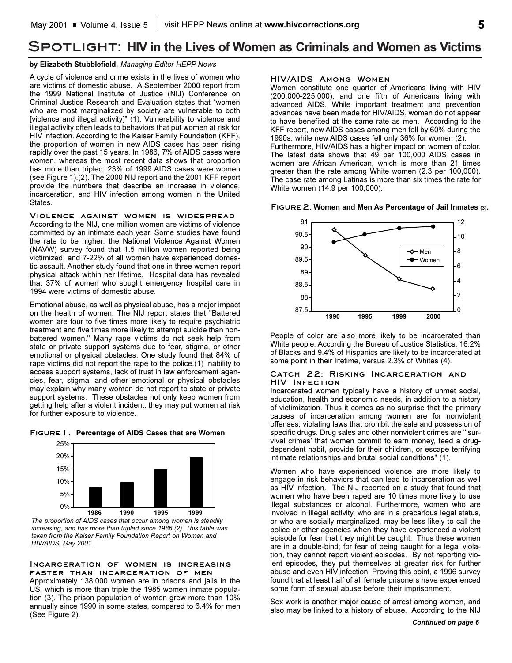## **Spotlight: HIV in the Lives of Women as Criminals and Women as Victims**

#### **by Elizabeth Stubblefield,** *Managing Editor HEPP News*

A cycle of violence and crime exists in the lives of women who are victims of domestic abuse. A September 2000 report from the 1999 National Institute of Justice (NIJ) Conference on Criminal Justice Research and Evaluation states that "women who are most marginalized by society are vulnerable to both [violence and illegal activity]" (1). Vulnerability to violence and illegal activity often leads to behaviors that put women at risk for HIV infection. According to the Kaiser Family Foundation (KFF), the proportion of women in new AIDS cases has been rising rapidly over the past 15 years. In 1986, 7% of AIDS cases were women, whereas the most recent data shows that proportion has more than tripled: 23% of 1999 AIDS cases were women (see Figure 1).(2). The 2000 NIJ report and the 2001 KFF report provide the numbers that describe an increase in violence, incarceration, and HIV infection among women in the United States.

#### **Violence against women is widespread**

According to the NIJ, one million women are victims of violence committed by an intimate each year. Some studies have found the rate to be higher: the National Violence Against Women (NAVW) survey found that 1.5 million women reported being victimized, and 7-22% of all women have experienced domestic assault. Another study found that one in three women report physical attack within her lifetime. Hospital data has revealed that 37% of women who sought emergency hospital care in 1994 were victims of domestic abuse.

Emotional abuse, as well as physical abuse, has a major impact on the health of women. The NIJ report states that "Battered women are four to five times more likely to require psychiatric treatment and five times more likely to attempt suicide than nonbattered women." Many rape victims do not seek help from state or private support systems due to fear, stigma, or other emotional or physical obstacles. One study found that 84% of rape victims did not report the rape to the police.(1) Inability to access support systems, lack of trust in law enforcement agencies, fear, stigma, and other emotional or physical obstacles may explain why many women do not report to state or private support systems. These obstacles not only keep women from getting help after a violent incident, they may put women at risk for further exposure to violence.





*The proportion of AIDS cases that occur among women is steadily increasing, and has more than tripled since 1986 (2). This table was taken from the Kaiser Family Foundation Report on Women and HIV/AIDS, May 2001.*

### **Incarceration of women is increasing faster than incarceration of men**

Approximately 138,000 women are in prisons and jails in the US, which is more than triple the 1985 women inmate population (3). The prison population of women grew more than 10% annually since 1990 in some states, compared to 6.4% for men (See Figure 2).

## **HIV/AIDS Among Women**

Women constitute one quarter of Americans living with HIV (200,000-225,000), and one fifth of Americans living with advanced AIDS. While important treatment and prevention advances have been made for HIV/AIDS, women do not appear to have benefited at the same rate as men. According to the KFF report, new AIDS cases among men fell by 60% during the 1990s, while new AIDS cases fell only 36% for women (2). Furthermore, HIV/AIDS has a higher impact on women of color. The latest data shows that 49 per 100,000 AIDS cases in women are African American, which is more than 21 times greater than the rate among White women (2.3 per 100,000). The case rate among Latinas is more than six times the rate for White women (14.9 per 100,000).

#### **Figure2. Women and Men As Percentage of Jail Inmates (3).**



People of color are also more likely to be incarcerated than White people. According the Bureau of Justice Statistics, 16.2% of Blacks and 9.4% of Hispanics are likely to be incarcerated at some point in their lifetime, versus 2.3% of Whites (4).

#### **Catch 22: Risking Incarceration and HIV Infection**

Incarcerated women typically have a history of unmet social, education, health and economic needs, in addition to a history of victimization. Thus it comes as no surprise that the primary causes of incarceration among women are for nonviolent offenses; violating laws that prohibit the sale and possession of specific drugs. Drug sales and other nonviolent crimes are "'survival crimes' that women commit to earn money, feed a drugdependent habit, provide for their children, or escape terrifying intimate relationships and brutal social conditions" (1).

Women who have experienced violence are more likely to engage in risk behaviors that can lead to incarceration as well as HIV infection. The NIJ reported on a study that found that women who have been raped are 10 times more likely to use illegal substances or alcohol. Furthermore, women who are involved in illegal activity, who are in a precarious legal status, or who are socially marginalized, may be less likely to call the police or other agencies when they have experienced a violent episode for fear that they might be caught. Thus these women are in a double-bind; for fear of being caught for a legal violation, they cannot report violent episodes. By not reporting violent episodes, they put themselves at greater risk for further abuse and even HIV infection. Proving this point, a 1996 survey found that at least half of all female prisoners have experienced some form of sexual abuse before their imprisonment.

Sex work is another major cause of arrest among women, and also may be linked to a history of abuse. According to the NIJ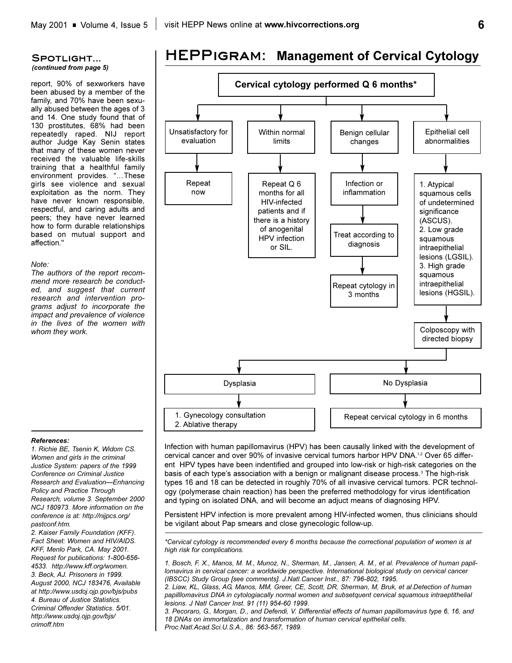## **Spotlight...** *(continued from page 5)*

report, 90% of sexworkers have been abused by a member of the family, and 70% have been sexually abused between the ages of 3 and 14. One study found that of 130 prostitutes, 68% had been repeatedly raped. NIJ report author Judge Kay Senin states that many of these women never received the valuable life-skills training that a healthful family environment provides. "...These girls see violence and sexual exploitation as the norm. They have never known responsible, respectful, and caring adults and peers; they have never learned how to form durable relationships based on mutual support and affection."

## *Note:*

*The authors of the report recommend more research be conducted, and suggest that current research and intervention programs adjust to incorporate the impact and prevalence of violence in the lives of the women with whom they work.* 



**HEPPigram: Management of Cervical Cytology**

*References:*

*1. Richie BE, Tsenin K, Widom CS. Women and girls in the criminal Justice System: papers of the 1999 Conference on Criminal Justice Research and EvaluationEnhancing Policy and Practice Through Research, volume 3. September 2000 NCJ 180973. More information on the conference is at: http://nijpcs.org/ pastconf.htm.*

*2. Kaiser Family Foundation (KFF). Fact Sheet: Women and HIV/AIDS. KFF, Menlo Park, CA. May 2001. Request for publications: 1-800-656- 4533. http://www.kff.org/women. 3. Beck, AJ. Prisoners in 1999. August 2000, NCJ 183476, Available at http://www.usdoj.ojp.gov/bjs/pubs 4. Bureau of Justice Statistics. Criminal Offender Statistics. 5/01. http://www.usdoj.ojp.gov/bjs/ crimoff.htm*

Infection with human papillomavirus (HPV) has been causally linked with the development of cervical cancer and over 90% of invasive cervical tumors harbor HPV DNA.<sup>1,2</sup> Over 65 different HPV types have been indentified and grouped into low-risk or high-risk categories on the basis of each type's association with a benign or malignant disease process.<sup>3</sup> The high-risk types 16 and 18 can be detected in roughly 70% of all invasive cervical tumors. PCR technology (polymerase chain reaction) has been the preferred methodology for virus identification and typing on isolated DNA, and will become an adjuct means of diagnosing HPV.

Persistent HPV infection is more prevalent among HIV-infected women, thus clinicians should be vigilant about Pap smears and close gynecologic follow-up.

*\*Cervical cytology is recommended every 6 months because the correctional population of women is at high risk for complications.*

*1. Bosch, F. X., Manos, M. M., Munoz, N., Sherman, M., Jansen, A. M., et al. Prevalence of human papillomavirus in cervical cancer: a worldwide perspective. International biological study on cervical cancer (IBSCC) Study Group [see comments]. J.Natl.Cancer Inst., 87: 796-802, 1995.*

*2. Liaw, KL, Glass, AG, Manos, MM, Greer, CE, Scott, DR, Sherman, M, Bruk, et al.Detection of human papilllomavirus DNA in cytologiacally normal women and subsetquent cervical squamous intraeptithelial lesions. J Natl Cancer Inst. 91 (11) 954-60 1999.*

*3. Pecoraro, G., Morgan, D., and Defendi, V. Differential effects of human papillomavirus type 6, 16, and 18 DNAs on immortalization and transformation of human cervical epithelial cells. Proc.Natl.Acad.Sci.U.S.A., 86: 563-567, 1989.*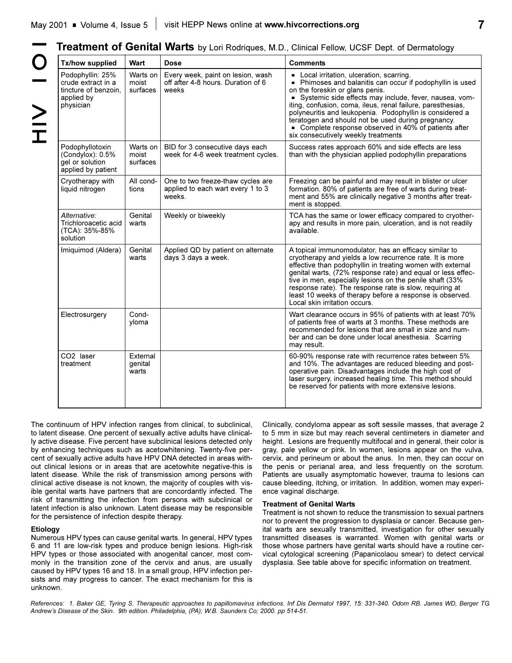| Treatment of Genital Warts by Lori Rodriques, M.D., Clinical Fellow, UCSF Dept. of Dermatology |  |  |  |  |  |  |  |  |  |
|------------------------------------------------------------------------------------------------|--|--|--|--|--|--|--|--|--|
|------------------------------------------------------------------------------------------------|--|--|--|--|--|--|--|--|--|

| Tx/how supplied                                                                           | <b>Wart</b>                   | <b>Dose</b>                                                                      | <b>Comments</b>                                                                                                                                                                                                                                                                                                                                                                                                                                                                      |
|-------------------------------------------------------------------------------------------|-------------------------------|----------------------------------------------------------------------------------|--------------------------------------------------------------------------------------------------------------------------------------------------------------------------------------------------------------------------------------------------------------------------------------------------------------------------------------------------------------------------------------------------------------------------------------------------------------------------------------|
| Podophyllin: 25%<br>crude extract in a<br>tincture of benzoin.<br>applied by<br>physician | Warts on<br>moist<br>surfaces | Every week, paint on lesion, wash<br>off after 4-8 hours. Duration of 6<br>weeks | • Local irritation, ulceration, scarring.<br>- Phimoses and balanitis can occur if podophyllin is used<br>on the foreskin or glans penis.<br>Systemic side effects may include, fever, nausea, vom-<br>iting, confusion, coma, ileus, renal failure, paresthesias,<br>polyneuritis and leukopenia. Podophyllin is considered a<br>teratogen and should not be used during pregnancy.<br>• Complete response observed in 40% of patients after<br>six consecutively weekly treatments |
| Podophyllotoxin<br>(Condylox): 0.5%<br>gel or solution<br>applied by patient              | Warts on<br>moist<br>surfaces | BID for 3 consecutive days each<br>week for 4-6 week treatment cycles.           | Success rates approach 60% and side effects are less<br>than with the physician applied podophyllin preparations                                                                                                                                                                                                                                                                                                                                                                     |
| Cryotherapy with<br>liquid nitrogen                                                       | All cond-<br>tions            | One to two freeze-thaw cycles are<br>applied to each wart every 1 to 3<br>weeks. | Freezing can be painful and may result in blister or ulcer<br>formation. 80% of patients are free of warts during treat-<br>ment and 55% are clinically negative 3 months after treat-<br>ment is stopped.                                                                                                                                                                                                                                                                           |
| Alternative:<br>Trichloroacetic acid<br>(TCA): 35%-85%<br>solution                        | Genital<br>warts              | Weekly or biweekly                                                               | TCA has the same or lower efficacy compared to cryother-<br>apy and results in more pain, ulceration, and is not readily<br>available.                                                                                                                                                                                                                                                                                                                                               |
| Imiquimod (Aldera)                                                                        | Genital<br>warts              | Applied QD by patient on alternate<br>days 3 days a week.                        | A topical immunomodulator, has an efficacy similar to<br>cryotherapy and yields a low recurrence rate. It is more<br>effective than podophyllin in treating women with external<br>genital warts, (72% response rate) and equal or less effec-<br>tive in men, especially lesions on the penile shaft (33%<br>response rate). The response rate is slow, requiring at<br>least 10 weeks of therapy before a response is observed.<br>Local skin irritation occurs.                   |
| Electrosurgery                                                                            | Cond-<br>yloma                |                                                                                  | Wart clearance occurs in 95% of patients with at least 70%<br>of patients free of warts at 3 months. These methods are<br>recommended for lesions that are small in size and num-<br>ber and can be done under local anesthesia. Scarring<br>may result.                                                                                                                                                                                                                             |
| CO2 laser<br>treatment                                                                    | External<br>genital<br>warts  |                                                                                  | 60-90% response rate with recurrence rates between 5%<br>and 10%. The advantages are reduced bleeding and post-<br>operative pain. Disadvantages include the high cost of<br>laser surgery, increased healing time. This method should<br>be reserved for patients with more extensive lesions.                                                                                                                                                                                      |

The continuum of HPV infection ranges from clinical, to subclinical, to latent disease. One percent of sexually active adults have clinically active disease. Five percent have subclinical lesions detected only by enhancing techniques such as acetowhitening. Twenty-five percent of sexually active adults have HPV DNA detected in areas without clinical lesions or in areas that are acetowhite negative-this is latent disease. While the risk of transmission among persons with clinical active disease is not known, the majority of couples with visible genital warts have partners that are concordantly infected. The risk of transmitting the infection from persons with subclinical or latent infection is also unknown. Latent disease may be responsible for the persistence of infection despite therapy.

#### **Etiology**

Numerous HPV types can cause genital warts. In general, HPV types 6 and 11 are low-risk types and produce benign lesions. High-risk HPV types or those associated with anogenital cancer, most commonly in the transition zone of the cervix and anus, are usually caused by HPV types 16 and 18. In a small group, HPV infection persists and may progress to cancer. The exact mechanism for this is unknown.

Clinically, condyloma appear as soft sessile masses, that average 2 to 5 mm in size but may reach several centimeters in diameter and height. Lesions are frequently multifocal and in general, their color is gray, pale yellow or pink. In women, lesions appear on the vulva, cervix, and perineum or about the anus. In men, they can occur on the penis or perianal area, and less frequently on the scrotum. Patients are usually asymptomatic however, trauma to lesions can cause bleeding, itching, or irritation. In addition, women may experience vaginal discharge.

#### **Treatment of Genital Warts**

Treatment is not shown to reduce the transmission to sexual partners nor to prevent the progression to dysplasia or cancer. Because genital warts are sexually transmitted, investigation for other sexually transmitted diseases is warranted. Women with genital warts or those whose partners have genital warts should have a routine cervical cytological screening (Papanicolaou smear) to detect cervical dysplasia. See table above for specific information on treatment.

*References: 1. Baker GE, Tyring S. Therapeutic approaches to papillomavirus infections. Inf Dis Dermatol 1997, 15: 331-340. Odom RB. James WD, Berger TG. Andrews Disease of the Skin. 9th edition. Philadelphia, (PA); W.B. Saunders Co; 2000. pp 514-51.*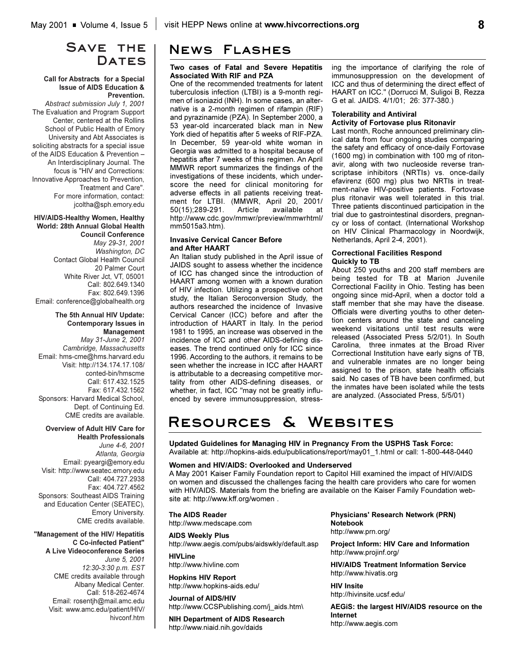## SAVE THE DATES

#### **Call for Abstracts for a Special Issue of AIDS Education & Prevention.**

*Abstract submission July 1, 2001*  The Evaluation and Program Support Center, centered at the Rollins School of Public Health of Emory University and Abt Associates is soliciting abstracts for a special issue of the AIDS Education & Prevention An Interdisciplinary Journal. The focus is "HIV and Corrections: Innovative Approaches to Prevention, Treatment and Care". For more information, contact: jcoltha@sph.emory.edu

## **HIV/AIDS-Healthy Women, Healthy World: 28th Annual Global Health**

**Council Conference** *May 29-31, 2001 Washington, DC* Contact Global Health Council 20 Palmer Court White River Jct, VT, 05001 Call: 802.649.1340 Fax: 802.649.1396 Email: conference@globalhealth.org

#### **The 5th Annual HIV Update: Contemporary Issues in Management**

*May 31-June 2, 2001 Cambridge, Massachusetts* Email: hms-cme@hms.harvard.edu Visit: http://134.174.17.108/ conted-bin/hmscme Call: 617.432.1525 Fax: 617.432.1562 Sponsors: Harvard Medical School, Dept. of Continuing Ed. CME credits are available.

#### **Overview of Adult HIV Care for Health Professionals**

*June 4-6, 2001 Atlanta, Georgia* Email: pyeargi@emory.edu Visit: http://www.seatec.emory.edu Call: 404.727.2938 Fax: 404.727.4562 Sponsors: Southeast AIDS Training and Education Center (SEATEC), Emory University. CME credits available.

#### **"Management of the HIV/ Hepatitis C Co-infected Patient" A Live Videoconference Series** *June 5, 2001 12:30-3:30 p.m. EST* CME credits available through Albany Medical Center. Call: 518-262-4674 Email: rosentjh@mail.amc.edu

Visit: www.amc.edu/patient/HIV/

hivconf.htm

# **News Flashes**

### **Two cases of Fatal and Severe Hepatitis Associated With RIF and PZA**

One of the recommended treatments for latent tuberculosis infection (LTBI) is a 9-month regimen of isoniazid (INH). In some cases, an alternative is a 2-month regimen of rifampin (RIF) and pyrazinamide (PZA). In September 2000, a 53 year-old incarcerated black man in New York died of hepatitis after 5 weeks of RIF-PZA. In December, 59 year-old white woman in Georgia was admitted to a hospital because of hepatitis after 7 weeks of this regimen. An April MMWR report summarizes the findings of the investigations of these incidents, which underscore the need for clinical monitoring for adverse effects in all patients receiving treatment for LTBI. (MMWR, April 20, 2001/ 50(15);289-291. Article available at http://www.cdc.gov/mmwr/preview/mmwrhtml/ mm5015a3.htm).

#### **Invasive Cervical Cancer Before and After HAART**

An Italian study published in the April issue of JAIDS sought to assess whether the incidence of ICC has changed since the introduction of HAART among women with a known duration of HIV infection. Utilizing a prospective cohort study, the Italian Seroconversion Study, the authors researched the incidence of Invasive Cervical Cancer (ICC) before and after the introduction of HAART in Italy. In the period 1981 to 1995, an increase was observed in the incidence of ICC and other AIDS-defining diseases. The trend continued only for ICC since 1996. According to the authors, it remains to be seen whether the increase in ICC after HAART is attributable to a decreasing competitive mortality from other AIDS-defining diseases, or whether, in fact, ICC "may not be greatly influenced by severe immunosuppression, stressing the importance of clarifying the role of immunosuppression on the development of ICC and thus of determining the direct effect of HAART on ICC." (Dorrucci M, Suligoi B, Rezza G et al. JAIDS. 4/1/01; 26: 377-380.)

#### **Tolerability and Antiviral Activity of Fortovase plus Ritonavir**

Last month, Roche announced preliminary clinical data from four ongoing studies comparing the safety and efficacy of once-daily Fortovase (1600 mg) in combination with 100 mg of ritonavir, along with two nucleoside reverse transcriptase inhibitors (NRTIs) vs. once-daily efavirenz (600 mg) plus two NRTIs in treatment-naïve HIV-positive patients. Fortovase plus ritonavir was well tolerated in this trial. Three patients discontinued participation in the trial due to gastrointestinal disorders, pregnancy or loss of contact. (International Workshop on HIV Clinical Pharmacology in Noordwijk, Netherlands, April 2-4, 2001).

### **Correctional Facilities Respond Quickly to TB**

About 250 youths and 200 staff members are being tested for TB at Marion Juvenile Correctional Facility in Ohio. Testing has been ongoing since mid-April, when a doctor told a staff member that she may have the disease. Officials were diverting youths to other detention centers around the state and canceling weekend visitations until test results were released (Associated Press 5/2/01). In South Carolina, three inmates at the Broad River Correctional Institution have early signs of TB, and vulnerable inmates are no longer being assigned to the prison, state health officials said. No cases of TB have been confirmed, but the inmates have been isolated while the tests are analyzed. (Associated Press, 5/5/01)

# **Resources & Websites**

**Updated Guidelines for Managing HIV in Pregnancy From the USPHS Task Force:**  Available at: http://hopkins-aids.edu/publications/report/may01\_1.html or call: 1-800-448-0440

## **Women and HIV/AIDS: Overlooked and Underserved**

A May 2001 Kaiser Family Foundation report to Capitol Hill examined the impact of HIV/AIDS on women and discussed the challenges facing the health care providers who care for women with HIV/AIDS. Materials from the briefing are available on the Kaiser Family Foundation website at: http://www.kff.org/women .

**The AIDS Reader** http://www.medscape.com

**AIDS Weekly Plus** http://www.aegis.com/pubs/aidswkly/default.asp

**HIVLine** http://www.hivline.com

**Hopkins HIV Report** http://www.hopkins-aids.edu/

**Journal of AIDS/HIV** http://www.CCSPublishing.com/j\_aids.htm\

**NIH Department of AIDS Research** http://www.niaid.nih.gov/daids

**Physicians' Research Network (PRN) Notebook** http://www.prn.org/

**Project Inform: HIV Care and Information** http://www.projinf.org/

**HIV/AIDS Treatment Information Service** http://www.hivatis.org

**HIV Insite** http://hivinsite.ucsf.edu/

**AEGiS: the largest HIV/AIDS resource on the Internet** http://www.aegis.com